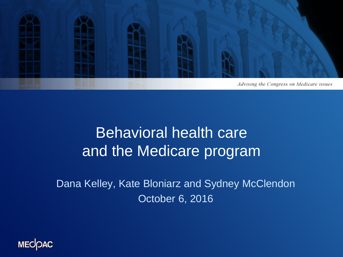

#### Behavioral health care and the Medicare program

Dana Kelley, Kate Bloniarz and Sydney McClendon October 6, 2016

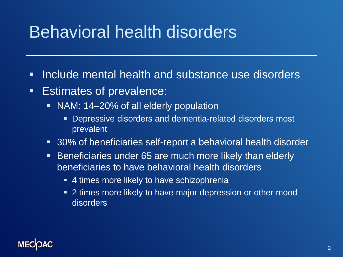#### Behavioral health disorders

- **Include mental health and substance use disorders**
- **Estimates of prevalence:** 
	- NAM: 14–20% of all elderly population
		- Depressive disorders and dementia-related disorders most prevalent
	- 30% of beneficiaries self-report a behavioral health disorder
	- **Beneficiaries under 65 are much more likely than elderly** beneficiaries to have behavioral health disorders
		- 4 times more likely to have schizophrenia
		- 2 times more likely to have major depression or other mood disorders

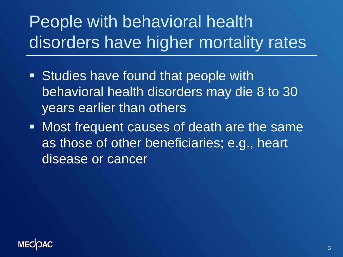# People with behavioral health disorders have higher mortality rates

- **Studies have found that people with** behavioral health disorders may die 8 to 30 years earlier than others
- **Most frequent causes of death are the same** as those of other beneficiaries; e.g., heart disease or cancer

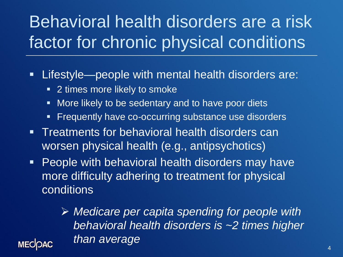# Behavioral health disorders are a risk factor for chronic physical conditions

Lifestyle—people with mental health disorders are:

- **2** times more likely to smoke
- **Nore likely to be sedentary and to have poor diets**
- **Fiandidge 1** Frequently have co-occurring substance use disorders
- **Treatments for behavioral health disorders can** worsen physical health (e.g., antipsychotics)
- **People with behavioral health disorders may have** more difficulty adhering to treatment for physical conditions

 *Medicare per capita spending for people with behavioral health disorders is ~2 times higher than average*

**MECOAC**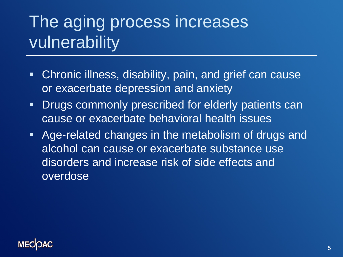# The aging process increases vulnerability

- Chronic illness, disability, pain, and grief can cause or exacerbate depression and anxiety
- **-** Drugs commonly prescribed for elderly patients can cause or exacerbate behavioral health issues
- Age-related changes in the metabolism of drugs and alcohol can cause or exacerbate substance use disorders and increase risk of side effects and overdose

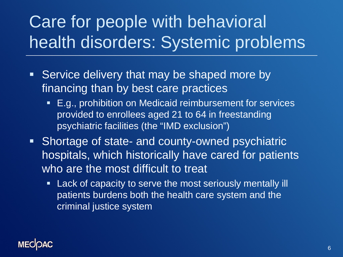# Care for people with behavioral health disorders: Systemic problems

- **Service delivery that may be shaped more by** financing than by best care practices
	- E.g., prohibition on Medicaid reimbursement for services provided to enrollees aged 21 to 64 in freestanding psychiatric facilities (the "IMD exclusion")
- **Shortage of state- and county-owned psychiatric** hospitals, which historically have cared for patients who are the most difficult to treat
	- **Lack of capacity to serve the most seriously mentally ill** patients burdens both the health care system and the criminal justice system

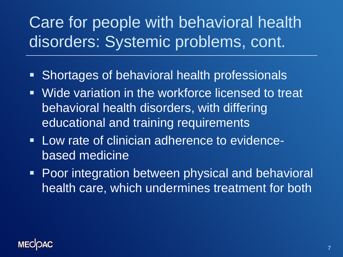#### Care for people with behavioral health disorders: Systemic problems, cont.

- **Shortages of behavioral health professionals**
- **Wide variation in the workforce licensed to treat** behavioral health disorders, with differing educational and training requirements
- **Low rate of clinician adherence to evidence**based medicine
- **Poor integration between physical and behavioral** health care, which undermines treatment for both

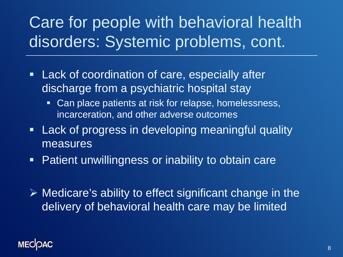#### Care for people with behavioral health disorders: Systemic problems, cont.

- **Lack of coordination of care, especially after** discharge from a psychiatric hospital stay
	- Can place patients at risk for relapse, homelessness, incarceration, and other adverse outcomes
- **Lack of progress in developing meaningful quality** measures
- **Patient unwillingness or inability to obtain care**
- $\triangleright$  Medicare's ability to effect significant change in the delivery of behavioral health care may be limited

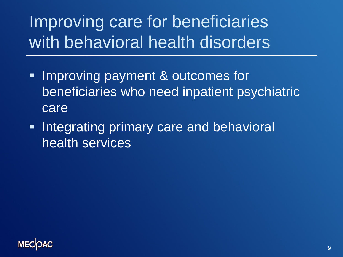# Improving care for beneficiaries with behavioral health disorders

- **Improving payment & outcomes for** beneficiaries who need inpatient psychiatric care
- **Integrating primary care and behavioral** health services

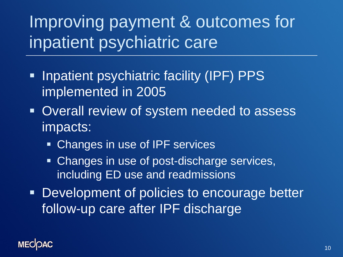Improving payment & outcomes for inpatient psychiatric care

- **Inpatient psychiatric facility (IPF) PPS** implemented in 2005
- **Overall review of system needed to assess** impacts:
	- **Changes in use of IPF services**
	- **Changes in use of post-discharge services,** including ED use and readmissions
- **Development of policies to encourage better** follow-up care after IPF discharge

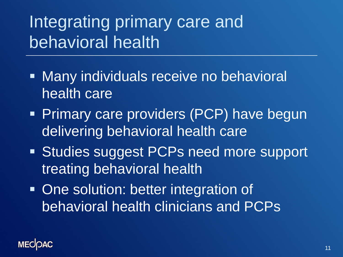## Integrating primary care and behavioral health

- **Nany individuals receive no behavioral** health care
- **Primary care providers (PCP) have begun** delivering behavioral health care
- **Studies suggest PCPs need more support** treating behavioral health
- One solution: better integration of behavioral health clinicians and PCPs

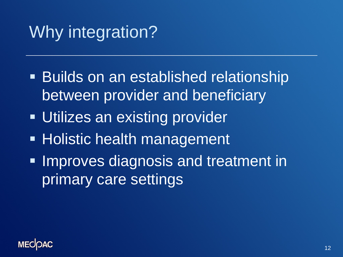#### Why integration?

- **Builds on an established relationship** between provider and beneficiary
- **Utilizes an existing provider**
- **Holistic health management**
- **Improves diagnosis and treatment in** primary care settings

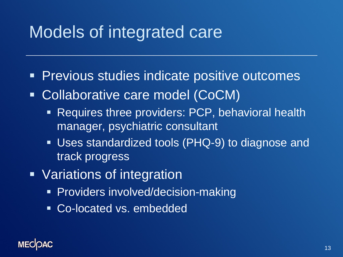#### Models of integrated care

- **Previous studies indicate positive outcomes**
- Collaborative care model (CoCM)
	- **Requires three providers: PCP, behavioral health** manager, psychiatric consultant
	- **Uses standardized tools (PHQ-9) to diagnose and** track progress
- **Variations of integration** 
	- **Providers involved/decision-making**
	- **Co-located vs. embedded**

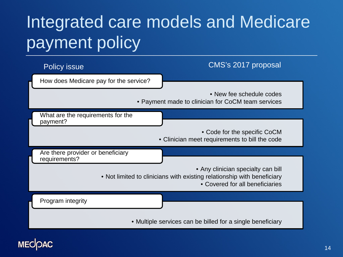# Integrated care models and Medicare payment policy



#### **MECOAC**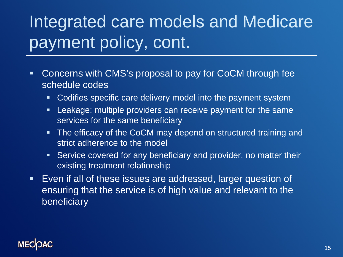# Integrated care models and Medicare payment policy, cont.

- Concerns with CMS's proposal to pay for CoCM through fee schedule codes
	- Codifies specific care delivery model into the payment system
	- **EXE** Leakage: multiple providers can receive payment for the same services for the same beneficiary
	- The efficacy of the CoCM may depend on structured training and strict adherence to the model
	- Service covered for any beneficiary and provider, no matter their existing treatment relationship
- Even if all of these issues are addressed, larger question of ensuring that the service is of high value and relevant to the beneficiary

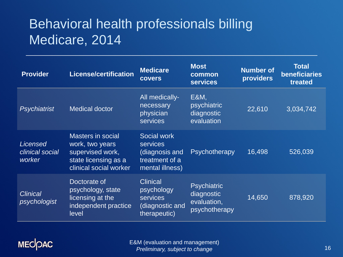#### Behavioral health professionals billing Medicare, 2014

| <b>Provider</b>                              | <b>License/certification</b>                                                                                      | <b>Medicare</b><br><b>covers</b>                                                      | <b>Most</b><br>common<br><b>services</b>                         | <b>Number of</b><br><b>providers</b> | <b>Total</b><br>beneficiaries<br>treated |
|----------------------------------------------|-------------------------------------------------------------------------------------------------------------------|---------------------------------------------------------------------------------------|------------------------------------------------------------------|--------------------------------------|------------------------------------------|
| Psychiatrist                                 | <b>Medical doctor</b>                                                                                             | All medically-<br>necessary<br>physician<br><b>services</b>                           | E&M,<br>psychiatric<br>diagnostic<br>evaluation                  | 22,610                               | 3,034,742                                |
| <b>Licensed</b><br>clinical social<br>worker | <b>Masters in social</b><br>work, two years<br>supervised work,<br>state licensing as a<br>clinical social worker | Social work<br><b>services</b><br>(diagnosis and<br>treatment of a<br>mental illness) | Psychotherapy                                                    | 16,498                               | 526,039                                  |
| <b>Clinical</b><br>psychologist              | Doctorate of<br>psychology, state<br>licensing at the<br>independent practice<br>level                            | <b>Clinical</b><br>psychology<br><b>services</b><br>(diagnostic and<br>therapeutic)   | <b>Psychiatric</b><br>diagnostic<br>evaluation,<br>psychotherapy | 14,650                               | 878,920                                  |

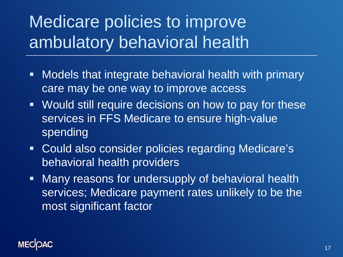# Medicare policies to improve ambulatory behavioral health

- **Models that integrate behavioral health with primary** care may be one way to improve access
- Would still require decisions on how to pay for these services in FFS Medicare to ensure high-value spending
- **Could also consider policies regarding Medicare's** behavioral health providers
- **Many reasons for undersupply of behavioral health** services; Medicare payment rates unlikely to be the most significant factor